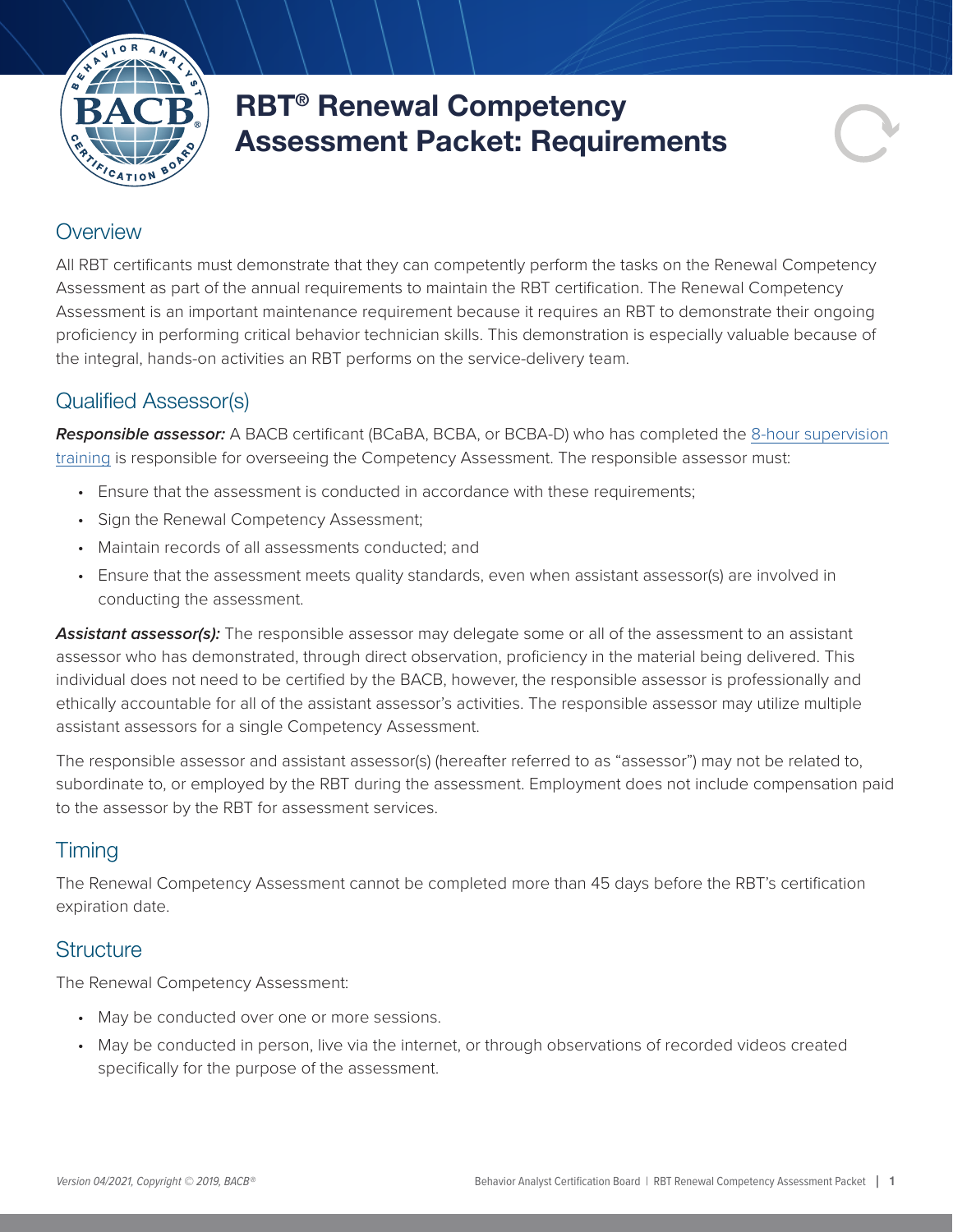

# RBT® Renewal Competency Assessment Packet: Requirements

### **Overview**

All RBT certificants must demonstrate that they can competently perform the tasks on the Renewal Competency Assessment as part of the annual requirements to maintain the RBT certification. The Renewal Competency Assessment is an important maintenance requirement because it requires an RBT to demonstrate their ongoing proficiency in performing critical behavior technician skills. This demonstration is especially valuable because of the integral, hands-on activities an RBT performs on the service-delivery team.

## Qualified Assessor(s)

*Responsible assessor:* A BACB certificant (BCaBA, BCBA, or BCBA-D) who has completed the [8-hour supervision](https://www.bacb.com/supervision-and-training/) [training](https://www.bacb.com/supervision-and-training/) is responsible for overseeing the Competency Assessment. The responsible assessor must:

- Ensure that the assessment is conducted in accordance with these requirements;
- Sign the Renewal Competency Assessment;
- Maintain records of all assessments conducted; and
- Ensure that the assessment meets quality standards, even when assistant assessor(s) are involved in conducting the assessment.

Assistant assessor(s): The responsible assessor may delegate some or all of the assessment to an assistant assessor who has demonstrated, through direct observation, proficiency in the material being delivered. This individual does not need to be certified by the BACB, however, the responsible assessor is professionally and ethically accountable for all of the assistant assessor's activities. The responsible assessor may utilize multiple assistant assessors for a single Competency Assessment.

The responsible assessor and assistant assessor(s) (hereafter referred to as "assessor") may not be related to, subordinate to, or employed by the RBT during the assessment. Employment does not include compensation paid to the assessor by the RBT for assessment services.

## **Timing**

The Renewal Competency Assessment cannot be completed more than 45 days before the RBT's certification expiration date.

#### **Structure**

The Renewal Competency Assessment:

- May be conducted over one or more sessions.
- May be conducted in person, live via the internet, or through observations of recorded videos created specifically for the purpose of the assessment.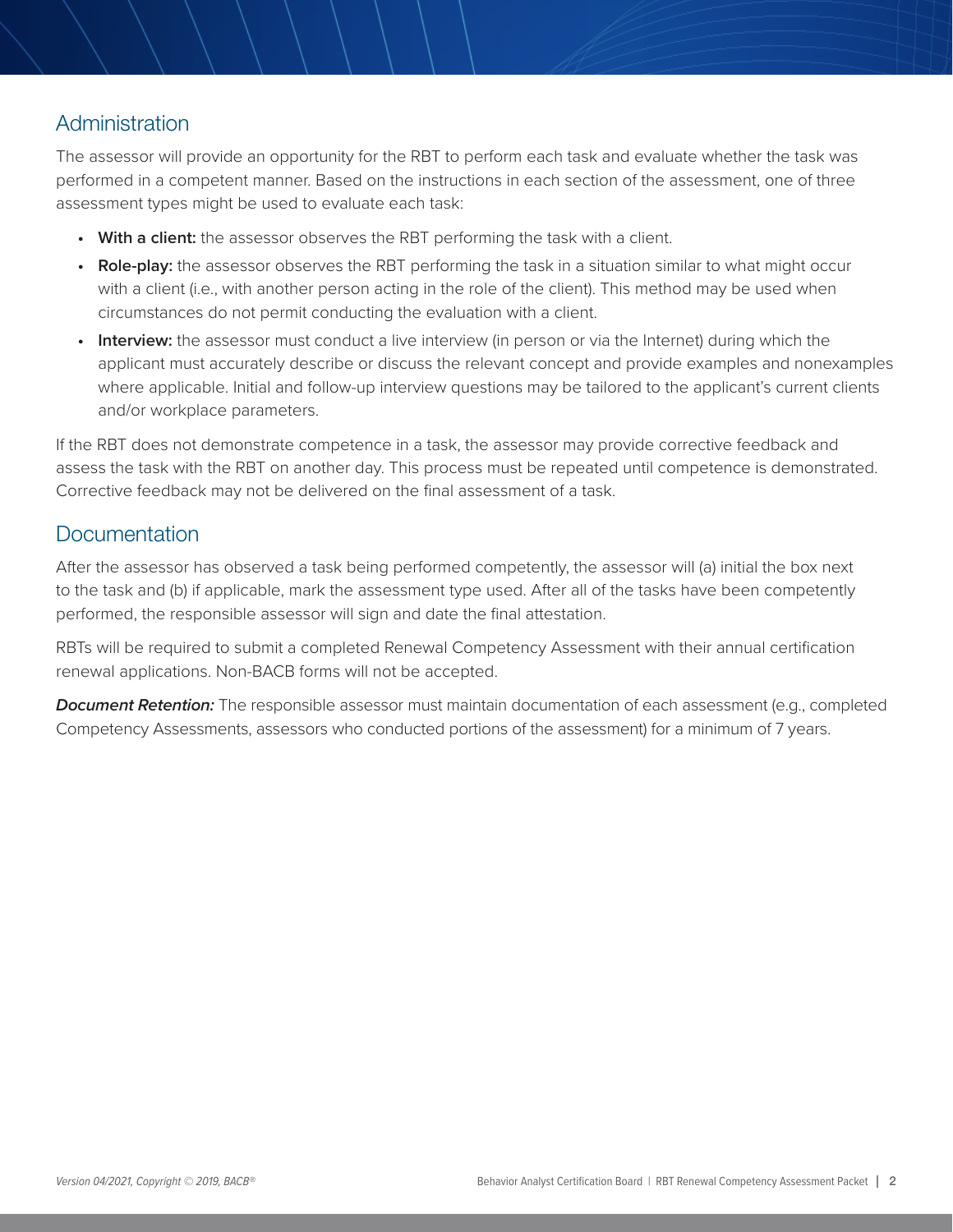## Administration

The assessor will provide an opportunity for the RBT to perform each task and evaluate whether the task was performed in a competent manner. Based on the instructions in each section of the assessment, one of three assessment types might be used to evaluate each task:

- **• With a client:** the assessor observes the RBT performing the task with a client.
- **• Role-play:** the assessor observes the RBT performing the task in a situation similar to what might occur with a client (i.e., with another person acting in the role of the client). This method may be used when circumstances do not permit conducting the evaluation with a client.
- **• Interview:** the assessor must conduct a live interview (in person or via the Internet) during which the applicant must accurately describe or discuss the relevant concept and provide examples and nonexamples where applicable. Initial and follow-up interview questions may be tailored to the applicant's current clients and/or workplace parameters.

If the RBT does not demonstrate competence in a task, the assessor may provide corrective feedback and assess the task with the RBT on another day. This process must be repeated until competence is demonstrated. Corrective feedback may not be delivered on the final assessment of a task.

### **Documentation**

After the assessor has observed a task being performed competently, the assessor will (a) initial the box next to the task and (b) if applicable, mark the assessment type used. After all of the tasks have been competently performed, the responsible assessor will sign and date the final attestation.

RBTs will be required to submit a completed Renewal Competency Assessment with their annual certification renewal applications. Non-BACB forms will not be accepted.

*Document Retention:* The responsible assessor must maintain documentation of each assessment (e.g., completed Competency Assessments, assessors who conducted portions of the assessment) for a minimum of 7 years.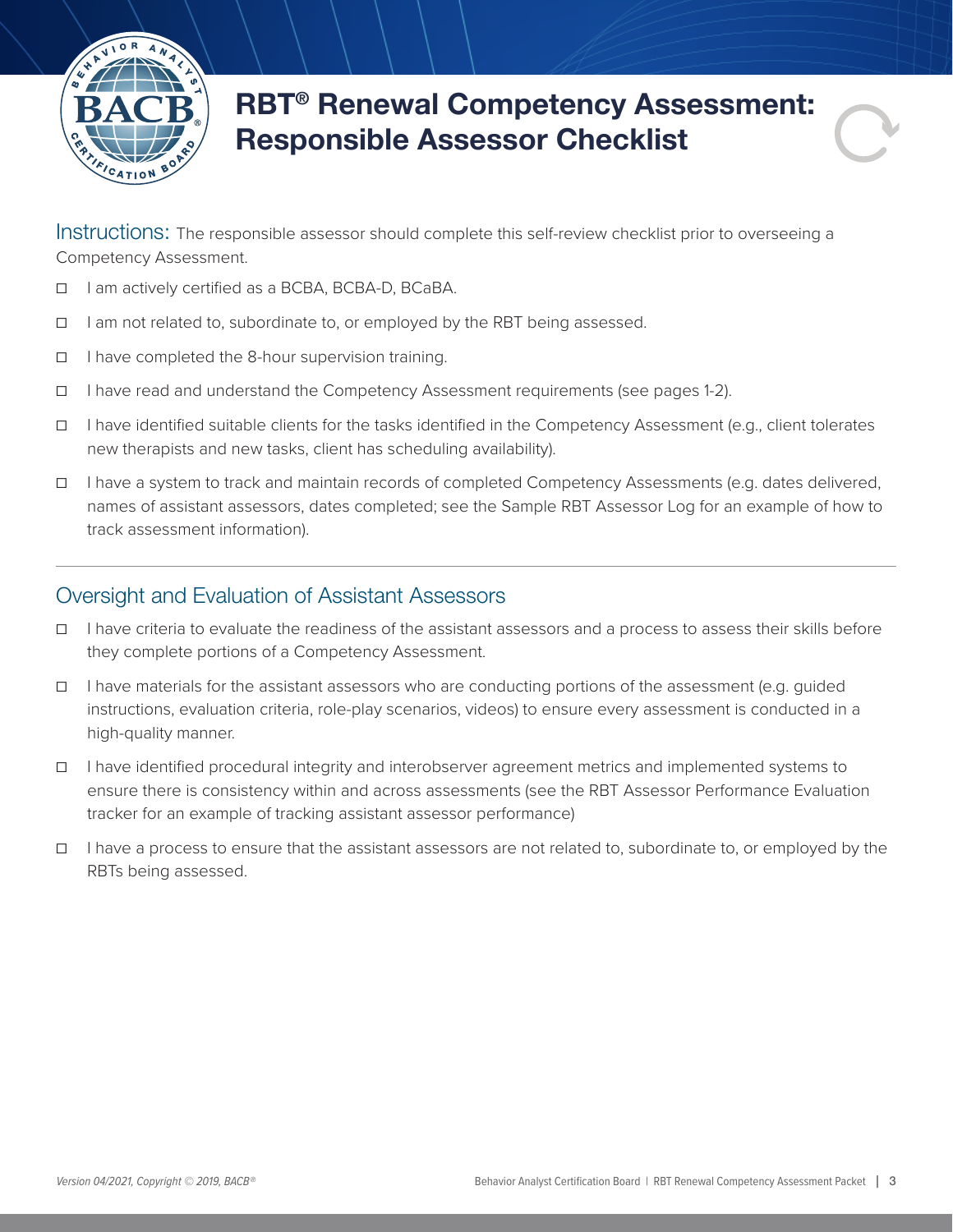

## RBT® Renewal Competency Assessment: Responsible Assessor Checklist

Instructions: The responsible assessor should complete this self-review checklist prior to overseeing a Competency Assessment.

- ☐ I am actively certified as a BCBA, BCBA-D, BCaBA.
- ☐ I am not related to, subordinate to, or employed by the RBT being assessed.
- ☐ I have completed the 8-hour supervision training.
- ☐ I have read and understand the Competency Assessment requirements (see pages 1-2).
- ☐ I have identified suitable clients for the tasks identified in the Competency Assessment (e.g., client tolerates new therapists and new tasks, client has scheduling availability).
- ☐ I have a system to track and maintain records of completed Competency Assessments (e.g. dates delivered, names of assistant assessors, dates completed; see the Sample RBT Assessor Log for an example of how to track assessment information).

#### Oversight and Evaluation of Assistant Assessors

- ☐ I have criteria to evaluate the readiness of the assistant assessors and a process to assess their skills before they complete portions of a Competency Assessment.
- ☐ I have materials for the assistant assessors who are conducting portions of the assessment (e.g. guided instructions, evaluation criteria, role-play scenarios, videos) to ensure every assessment is conducted in a high-quality manner.
- ☐ I have identified procedural integrity and interobserver agreement metrics and implemented systems to ensure there is consistency within and across assessments (see the RBT Assessor Performance Evaluation tracker for an example of tracking assistant assessor performance)
- ☐ I have a process to ensure that the assistant assessors are not related to, subordinate to, or employed by the RBTs being assessed.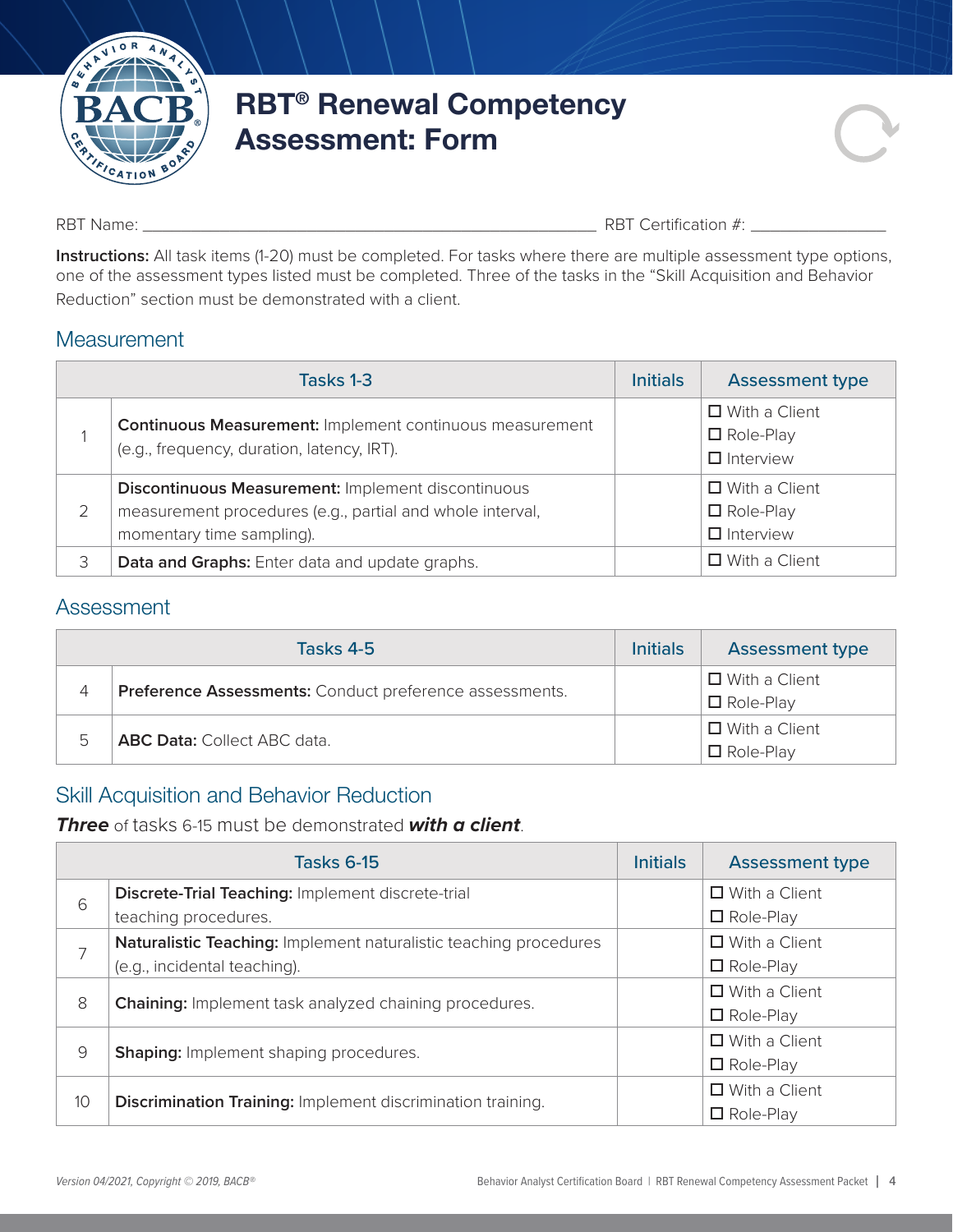

## RBT® Renewal Competency Assessment: Form

RBT Name:  $\Box$  RBT Certification #:

**Instructions:** All task items (1-20) must be completed. For tasks where there are multiple assessment type options, one of the assessment types listed must be completed. Three of the tasks in the "Skill Acquisition and Behavior Reduction" section must be demonstrated with a client.

#### **Measurement**

|   | Tasks 1-3                                                                                                                                    | <b>Initials</b> | <b>Assessment type</b>                                       |
|---|----------------------------------------------------------------------------------------------------------------------------------------------|-----------------|--------------------------------------------------------------|
|   | <b>Continuous Measurement: Implement continuous measurement</b><br>(e.g., frequency, duration, latency, IRT).                                |                 | $\Box$ With a Client<br>$\Box$ Role-Play<br>$\Box$ Interview |
|   | Discontinuous Measurement: Implement discontinuous<br>measurement procedures (e.g., partial and whole interval,<br>momentary time sampling). |                 | $\Box$ With a Client<br>$\Box$ Role-Play<br>$\Box$ Interview |
| 3 | Data and Graphs: Enter data and update graphs.                                                                                               |                 | $\Box$ With a Client                                         |

## Assessment

|   | Tasks 4-5                                               | <b>Initials</b> | <b>Assessment type</b> |
|---|---------------------------------------------------------|-----------------|------------------------|
| 4 | Preference Assessments: Conduct preference assessments. |                 | $\Box$ With a Client   |
|   |                                                         |                 | $\Box$ Role-Play       |
| 5 | <b>ABC Data: Collect ABC data.</b>                      |                 | $\Box$ With a Client   |
|   |                                                         |                 | $\Box$ Role-Play       |

## Skill Acquisition and Behavior Reduction

#### *Three* of tasks 6-15 must be demonstrated *with a client*.

|    | <b>Tasks 6-15</b>                                                  | <b>Initials</b> | <b>Assessment type</b> |
|----|--------------------------------------------------------------------|-----------------|------------------------|
| 6  | Discrete-Trial Teaching: Implement discrete-trial                  |                 | $\Box$ With a Client   |
|    | teaching procedures.                                               |                 | $\Box$ Role-Play       |
| 7  | Naturalistic Teaching: Implement naturalistic teaching procedures  |                 | $\Box$ With a Client   |
|    | (e.g., incidental teaching).                                       |                 | $\Box$ Role-Play       |
| 8  | <b>Chaining:</b> Implement task analyzed chaining procedures.      |                 | $\Box$ With a Client   |
|    |                                                                    |                 | $\Box$ Role-Play       |
| 9  | <b>Shaping:</b> Implement shaping procedures.                      |                 | $\Box$ With a Client   |
|    |                                                                    |                 | $\Box$ Role-Play       |
| 10 | <b>Discrimination Training: Implement discrimination training.</b> |                 | $\Box$ With a Client   |
|    |                                                                    |                 | $\Box$ Role-Play       |